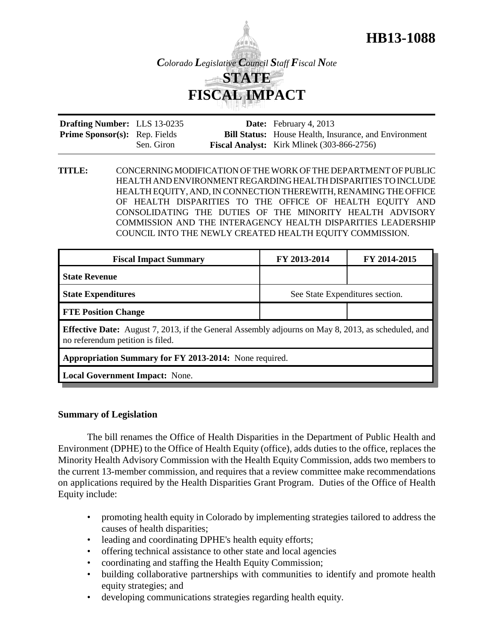

**HB13-1088**

| <b>Drafting Number:</b> LLS 13-0235  |            | <b>Date:</b> February 4, 2013                                |
|--------------------------------------|------------|--------------------------------------------------------------|
| <b>Prime Sponsor(s):</b> Rep. Fields |            | <b>Bill Status:</b> House Health, Insurance, and Environment |
|                                      | Sen. Giron | <b>Fiscal Analyst:</b> Kirk Mlinek (303-866-2756)            |

**TITLE:** CONCERNING MODIFICATION OF THE WORK OF THE DEPARTMENT OF PUBLIC HEALTH AND ENVIRONMENT REGARDING HEALTH DISPARITIES TO INCLUDE HEALTH EQUITY, AND, IN CONNECTION THEREWITH, RENAMING THE OFFICE OF HEALTH DISPARITIES TO THE OFFICE OF HEALTH EQUITY AND CONSOLIDATING THE DUTIES OF THE MINORITY HEALTH ADVISORY COMMISSION AND THE INTERAGENCY HEALTH DISPARITIES LEADERSHIP COUNCIL INTO THE NEWLY CREATED HEALTH EQUITY COMMISSION.

| <b>Fiscal Impact Summary</b>                                                                                                                  | FY 2013-2014                    | FY 2014-2015 |  |  |  |
|-----------------------------------------------------------------------------------------------------------------------------------------------|---------------------------------|--------------|--|--|--|
| <b>State Revenue</b>                                                                                                                          |                                 |              |  |  |  |
| <b>State Expenditures</b>                                                                                                                     | See State Expenditures section. |              |  |  |  |
| <b>FTE Position Change</b>                                                                                                                    |                                 |              |  |  |  |
| <b>Effective Date:</b> August 7, 2013, if the General Assembly adjourns on May 8, 2013, as scheduled, and<br>no referendum petition is filed. |                                 |              |  |  |  |
| Appropriation Summary for FY 2013-2014: None required.                                                                                        |                                 |              |  |  |  |
|                                                                                                                                               |                                 |              |  |  |  |

**Local Government Impact:** None.

## **Summary of Legislation**

The bill renames the Office of Health Disparities in the Department of Public Health and Environment (DPHE) to the Office of Health Equity (office), adds duties to the office, replaces the Minority Health Advisory Commission with the Health Equity Commission, adds two members to the current 13-member commission, and requires that a review committee make recommendations on applications required by the Health Disparities Grant Program. Duties of the Office of Health Equity include:

- promoting health equity in Colorado by implementing strategies tailored to address the causes of health disparities;
- leading and coordinating DPHE's health equity efforts;
- offering technical assistance to other state and local agencies
- coordinating and staffing the Health Equity Commission;
- building collaborative partnerships with communities to identify and promote health equity strategies; and
- developing communications strategies regarding health equity.